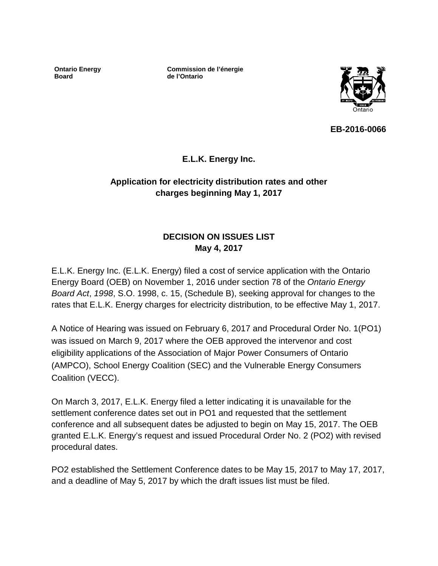**Ontario Energy Board**

**Commission de l'énergie de l'Ontario**



**EB-2016-0066**

# **E.L.K. Energy Inc.**

# **Application for electricity distribution rates and other charges beginning May 1, 2017**

# **DECISION ON ISSUES LIST May 4, 2017**

E.L.K. Energy Inc. (E.L.K. Energy) filed a cost of service application with the Ontario Energy Board (OEB) on November 1, 2016 under section 78 of the *Ontario Energy Board Act*, *1998*, S.O. 1998, c. 15, (Schedule B), seeking approval for changes to the rates that E.L.K. Energy charges for electricity distribution, to be effective May 1, 2017.

A Notice of Hearing was issued on February 6, 2017 and Procedural Order No. 1(PO1) was issued on March 9, 2017 where the OEB approved the intervenor and cost eligibility applications of the Association of Major Power Consumers of Ontario (AMPCO), School Energy Coalition (SEC) and the Vulnerable Energy Consumers Coalition (VECC).

On March 3, 2017, E.L.K. Energy filed a letter indicating it is unavailable for the settlement conference dates set out in PO1 and requested that the settlement conference and all subsequent dates be adjusted to begin on May 15, 2017. The OEB granted E.L.K. Energy's request and issued Procedural Order No. 2 (PO2) with revised procedural dates.

PO2 established the Settlement Conference dates to be May 15, 2017 to May 17, 2017, and a deadline of May 5, 2017 by which the draft issues list must be filed.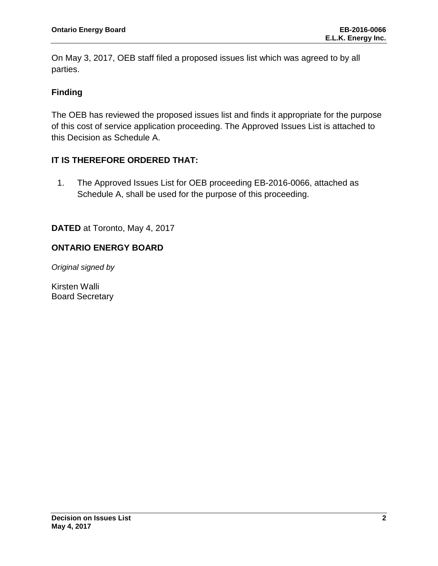On May 3, 2017, OEB staff filed a proposed issues list which was agreed to by all parties.

## **Finding**

The OEB has reviewed the proposed issues list and finds it appropriate for the purpose of this cost of service application proceeding. The Approved Issues List is attached to this Decision as Schedule A.

## **IT IS THEREFORE ORDERED THAT:**

1. The Approved Issues List for OEB proceeding EB-2016-0066, attached as Schedule A, shall be used for the purpose of this proceeding.

**DATED** at Toronto, May 4, 2017

## **ONTARIO ENERGY BOARD**

*Original signed by*

Kirsten Walli Board Secretary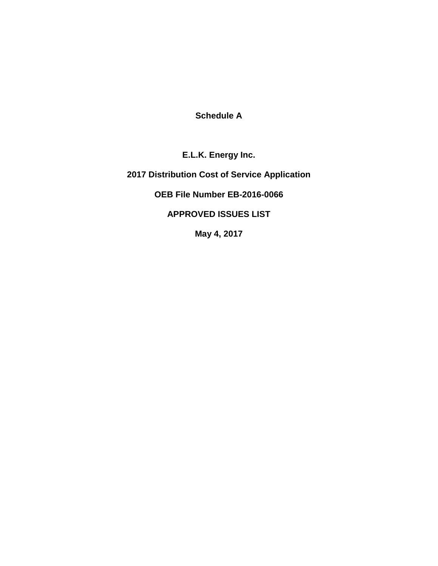**Schedule A**

**E.L.K. Energy Inc.**

**2017 Distribution Cost of Service Application**

**OEB File Number EB-2016-0066**

**APPROVED ISSUES LIST**

**May 4, 2017**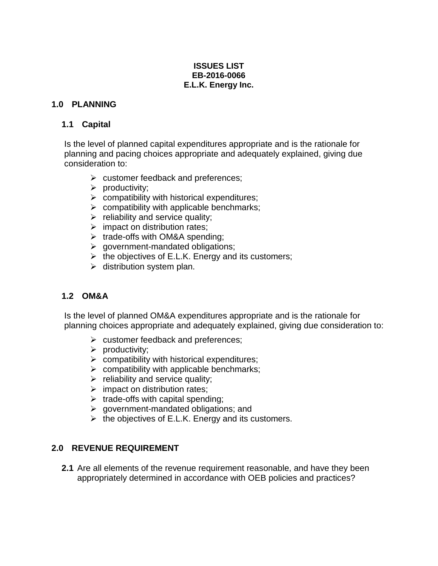#### **ISSUES LIST EB-2016-0066 E.L.K. Energy Inc.**

### **1.0 PLANNING**

### **1.1 Capital**

Is the level of planned capital expenditures appropriate and is the rationale for planning and pacing choices appropriate and adequately explained, giving due consideration to:

- $\triangleright$  customer feedback and preferences;
- $\triangleright$  productivity;
- $\triangleright$  compatibility with historical expenditures;
- $\triangleright$  compatibility with applicable benchmarks;
- $\triangleright$  reliability and service quality;
- $\triangleright$  impact on distribution rates;
- $\triangleright$  trade-offs with OM&A spending;
- $\triangleright$  government-mandated obligations;
- $\triangleright$  the objectives of E.L.K. Energy and its customers;
- $\triangleright$  distribution system plan.

## **1.2 OM&A**

Is the level of planned OM&A expenditures appropriate and is the rationale for planning choices appropriate and adequately explained, giving due consideration to:

- $\triangleright$  customer feedback and preferences;
- $\triangleright$  productivity;
- $\triangleright$  compatibility with historical expenditures;
- $\triangleright$  compatibility with applicable benchmarks;
- $\triangleright$  reliability and service quality;
- $\triangleright$  impact on distribution rates;
- $\triangleright$  trade-offs with capital spending;
- $\triangleright$  government-mandated obligations; and
- $\triangleright$  the objectives of E.L.K. Energy and its customers.

## **2.0 REVENUE REQUIREMENT**

**2.1** Are all elements of the revenue requirement reasonable, and have they been appropriately determined in accordance with OEB policies and practices?